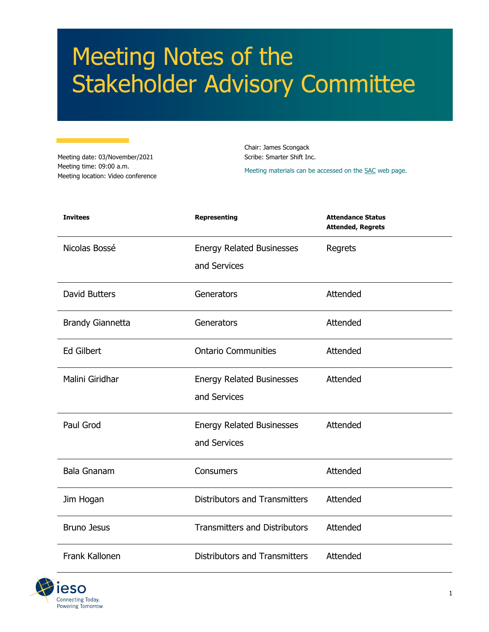# Meeting Notes of the Stakeholder Advisory Committee

Meeting date: 03/November/2021 Meeting time: 09:00 a.m. Meeting location: Video conference Chair: James Scongack Scribe: Smarter Shift Inc.

Meeting materials can be accessed on th[e SAC](https://www.ieso.ca/en/Sector-Participants/Engagement-Initiatives/Stakeholder-Advisory-Committee/Meetings-and-Materials) web page.

| <b>Invitees</b>         | <b>Representing</b>                  | <b>Attendance Status</b><br><b>Attended, Regrets</b> |
|-------------------------|--------------------------------------|------------------------------------------------------|
| Nicolas Bossé           | <b>Energy Related Businesses</b>     | Regrets                                              |
|                         | and Services                         |                                                      |
| <b>David Butters</b>    | Generators                           | Attended                                             |
| <b>Brandy Giannetta</b> | Generators                           | Attended                                             |
| <b>Ed Gilbert</b>       | <b>Ontario Communities</b>           | Attended                                             |
| Malini Giridhar         | <b>Energy Related Businesses</b>     | Attended                                             |
|                         | and Services                         |                                                      |
| Paul Grod               | <b>Energy Related Businesses</b>     | Attended                                             |
|                         | and Services                         |                                                      |
| <b>Bala Gnanam</b>      | Consumers                            | Attended                                             |
| Jim Hogan               | <b>Distributors and Transmitters</b> | Attended                                             |
| <b>Bruno Jesus</b>      | <b>Transmitters and Distributors</b> | Attended                                             |
| Frank Kallonen          | <b>Distributors and Transmitters</b> | Attended                                             |

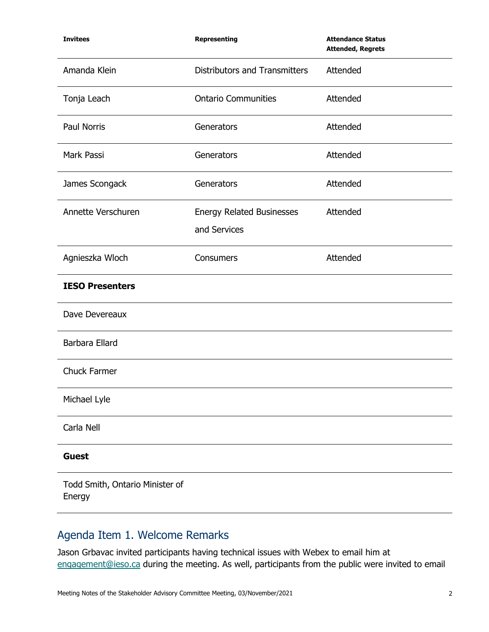| <b>Invitees</b>                           | <b>Representing</b>                              | <b>Attendance Status</b><br><b>Attended, Regrets</b> |
|-------------------------------------------|--------------------------------------------------|------------------------------------------------------|
| Amanda Klein                              | <b>Distributors and Transmitters</b>             | Attended                                             |
| Tonja Leach                               | <b>Ontario Communities</b>                       | Attended                                             |
| Paul Norris                               | Generators                                       | Attended                                             |
| Mark Passi                                | Generators                                       | Attended                                             |
| James Scongack                            | Generators                                       | Attended                                             |
| Annette Verschuren                        | <b>Energy Related Businesses</b><br>and Services | Attended                                             |
| Agnieszka Wloch                           | Consumers                                        | Attended                                             |
| <b>IESO Presenters</b>                    |                                                  |                                                      |
| Dave Devereaux                            |                                                  |                                                      |
| Barbara Ellard                            |                                                  |                                                      |
| <b>Chuck Farmer</b>                       |                                                  |                                                      |
| Michael Lyle                              |                                                  |                                                      |
| Carla Nell                                |                                                  |                                                      |
| <b>Guest</b>                              |                                                  |                                                      |
| Todd Smith, Ontario Minister of<br>Energy |                                                  |                                                      |

# Agenda Item 1. Welcome Remarks

Jason Grbavac invited participants having technical issues with Webex to email him at [engagement@ieso.ca](mailto:engagement@ieso.ca) during the meeting. As well, participants from the public were invited to email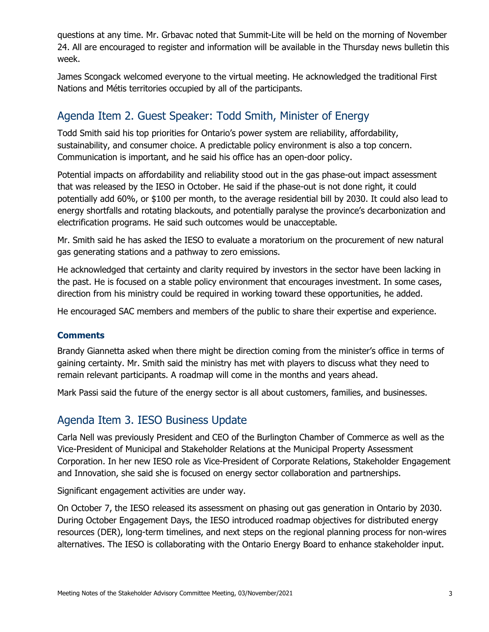questions at any time. Mr. Grbavac noted that Summit-Lite will be held on the morning of November 24. All are encouraged to register and information will be available in the Thursday news bulletin this week.

James Scongack welcomed everyone to the virtual meeting. He acknowledged the traditional First Nations and Métis territories occupied by all of the participants.

# Agenda Item 2. Guest Speaker: Todd Smith, Minister of Energy

Todd Smith said his top priorities for Ontario's power system are reliability, affordability, sustainability, and consumer choice. A predictable policy environment is also a top concern. Communication is important, and he said his office has an open-door policy.

Potential impacts on affordability and reliability stood out in the gas phase-out impact assessment that was released by the IESO in October. He said if the phase-out is not done right, it could potentially add 60%, or \$100 per month, to the average residential bill by 2030. It could also lead to energy shortfalls and rotating blackouts, and potentially paralyse the province's decarbonization and electrification programs. He said such outcomes would be unacceptable.

Mr. Smith said he has asked the IESO to evaluate a moratorium on the procurement of new natural gas generating stations and a pathway to zero emissions.

He acknowledged that certainty and clarity required by investors in the sector have been lacking in the past. He is focused on a stable policy environment that encourages investment. In some cases, direction from his ministry could be required in working toward these opportunities, he added.

He encouraged SAC members and members of the public to share their expertise and experience.

#### **Comments**

Brandy Giannetta asked when there might be direction coming from the minister's office in terms of gaining certainty. Mr. Smith said the ministry has met with players to discuss what they need to remain relevant participants. A roadmap will come in the months and years ahead.

Mark Passi said the future of the energy sector is all about customers, families, and businesses.

# Agenda Item 3. IESO Business Update

Carla Nell was previously President and CEO of the Burlington Chamber of Commerce as well as the Vice-President of Municipal and Stakeholder Relations at the Municipal Property Assessment Corporation. In her new IESO role as Vice-President of Corporate Relations, Stakeholder Engagement and Innovation, she said she is focused on energy sector collaboration and partnerships.

Significant engagement activities are under way.

On October 7, the IESO released its assessment on phasing out gas generation in Ontario by 2030. During October Engagement Days, the IESO introduced roadmap objectives for distributed energy resources (DER), long-term timelines, and next steps on the regional planning process for non-wires alternatives. The IESO is collaborating with the Ontario Energy Board to enhance stakeholder input.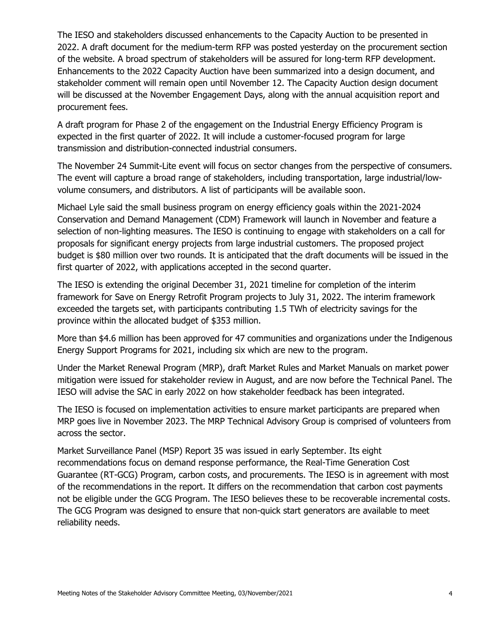The IESO and stakeholders discussed enhancements to the Capacity Auction to be presented in 2022. A draft document for the medium-term RFP was posted yesterday on the procurement section of the website. A broad spectrum of stakeholders will be assured for long-term RFP development. Enhancements to the 2022 Capacity Auction have been summarized into a design document, and stakeholder comment will remain open until November 12. The Capacity Auction design document will be discussed at the November Engagement Days, along with the annual acquisition report and procurement fees.

A draft program for Phase 2 of the engagement on the Industrial Energy Efficiency Program is expected in the first quarter of 2022. It will include a customer-focused program for large transmission and distribution-connected industrial consumers.

The November 24 Summit-Lite event will focus on sector changes from the perspective of consumers. The event will capture a broad range of stakeholders, including transportation, large industrial/lowvolume consumers, and distributors. A list of participants will be available soon.

Michael Lyle said the small business program on energy efficiency goals within the 2021-2024 Conservation and Demand Management (CDM) Framework will launch in November and feature a selection of non-lighting measures. The IESO is continuing to engage with stakeholders on a call for proposals for significant energy projects from large industrial customers. The proposed project budget is \$80 million over two rounds. It is anticipated that the draft documents will be issued in the first quarter of 2022, with applications accepted in the second quarter.

The IESO is extending the original December 31, 2021 timeline for completion of the interim framework for Save on Energy Retrofit Program projects to July 31, 2022. The interim framework exceeded the targets set, with participants contributing 1.5 TWh of electricity savings for the province within the allocated budget of \$353 million.

More than \$4.6 million has been approved for 47 communities and organizations under the Indigenous Energy Support Programs for 2021, including six which are new to the program.

Under the Market Renewal Program (MRP), draft Market Rules and Market Manuals on market power mitigation were issued for stakeholder review in August, and are now before the Technical Panel. The IESO will advise the SAC in early 2022 on how stakeholder feedback has been integrated.

The IESO is focused on implementation activities to ensure market participants are prepared when MRP goes live in November 2023. The MRP Technical Advisory Group is comprised of volunteers from across the sector.

Market Surveillance Panel (MSP) Report 35 was issued in early September. Its eight recommendations focus on demand response performance, the Real-Time Generation Cost Guarantee (RT-GCG) Program, carbon costs, and procurements. The IESO is in agreement with most of the recommendations in the report. It differs on the recommendation that carbon cost payments not be eligible under the GCG Program. The IESO believes these to be recoverable incremental costs. The GCG Program was designed to ensure that non-quick start generators are available to meet reliability needs.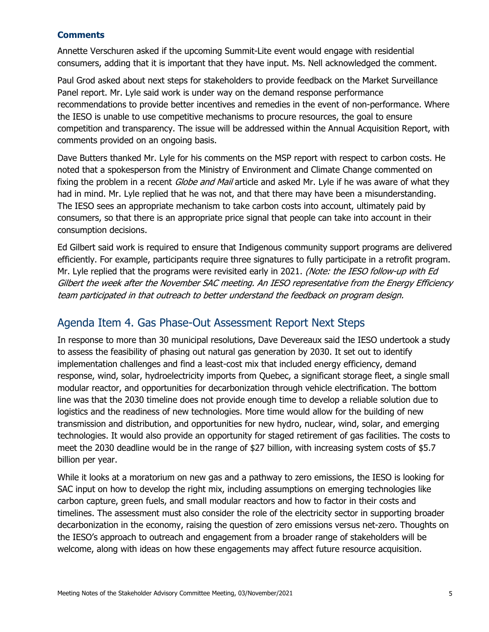#### **Comments**

Annette Verschuren asked if the upcoming Summit-Lite event would engage with residential consumers, adding that it is important that they have input. Ms. Nell acknowledged the comment.

Paul Grod asked about next steps for stakeholders to provide feedback on the Market Surveillance Panel report. Mr. Lyle said work is under way on the demand response performance recommendations to provide better incentives and remedies in the event of non-performance. Where the IESO is unable to use competitive mechanisms to procure resources, the goal to ensure competition and transparency. The issue will be addressed within the Annual Acquisition Report, with comments provided on an ongoing basis.

Dave Butters thanked Mr. Lyle for his comments on the MSP report with respect to carbon costs. He noted that a spokesperson from the Ministry of Environment and Climate Change commented on fixing the problem in a recent *Globe and Mail* article and asked Mr. Lyle if he was aware of what they had in mind. Mr. Lyle replied that he was not, and that there may have been a misunderstanding. The IESO sees an appropriate mechanism to take carbon costs into account, ultimately paid by consumers, so that there is an appropriate price signal that people can take into account in their consumption decisions.

Ed Gilbert said work is required to ensure that Indigenous community support programs are delivered efficiently. For example, participants require three signatures to fully participate in a retrofit program. Mr. Lyle replied that the programs were revisited early in 2021. (Note: the IESO follow-up with Ed Gilbert the week after the November SAC meeting. An IESO representative from the Energy Efficiency team participated in that outreach to better understand the feedback on program design.

## Agenda Item 4. Gas Phase-Out Assessment Report Next Steps

In response to more than 30 municipal resolutions, Dave Devereaux said the IESO undertook a study to assess the feasibility of phasing out natural gas generation by 2030. It set out to identify implementation challenges and find a least-cost mix that included energy efficiency, demand response, wind, solar, hydroelectricity imports from Quebec, a significant storage fleet, a single small modular reactor, and opportunities for decarbonization through vehicle electrification. The bottom line was that the 2030 timeline does not provide enough time to develop a reliable solution due to logistics and the readiness of new technologies. More time would allow for the building of new transmission and distribution, and opportunities for new hydro, nuclear, wind, solar, and emerging technologies. It would also provide an opportunity for staged retirement of gas facilities. The costs to meet the 2030 deadline would be in the range of \$27 billion, with increasing system costs of \$5.7 billion per year.

While it looks at a moratorium on new gas and a pathway to zero emissions, the IESO is looking for SAC input on how to develop the right mix, including assumptions on emerging technologies like carbon capture, green fuels, and small modular reactors and how to factor in their costs and timelines. The assessment must also consider the role of the electricity sector in supporting broader decarbonization in the economy, raising the question of zero emissions versus net-zero. Thoughts on the IESO's approach to outreach and engagement from a broader range of stakeholders will be welcome, along with ideas on how these engagements may affect future resource acquisition.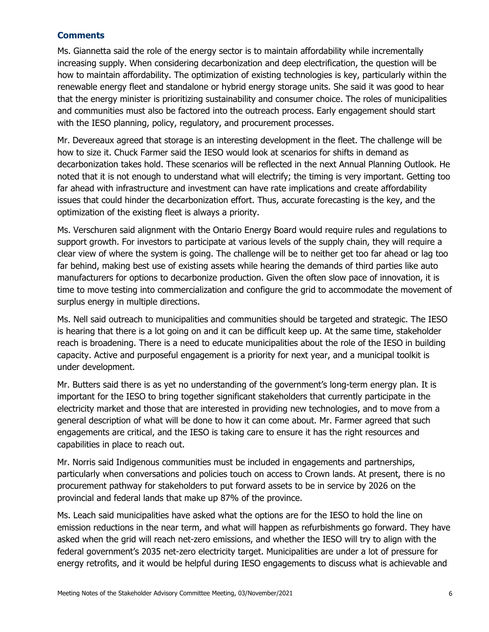#### **Comments**

Ms. Giannetta said the role of the energy sector is to maintain affordability while incrementally increasing supply. When considering decarbonization and deep electrification, the question will be how to maintain affordability. The optimization of existing technologies is key, particularly within the renewable energy fleet and standalone or hybrid energy storage units. She said it was good to hear that the energy minister is prioritizing sustainability and consumer choice. The roles of municipalities and communities must also be factored into the outreach process. Early engagement should start with the IESO planning, policy, regulatory, and procurement processes.

Mr. Devereaux agreed that storage is an interesting development in the fleet. The challenge will be how to size it. Chuck Farmer said the IESO would look at scenarios for shifts in demand as decarbonization takes hold. These scenarios will be reflected in the next Annual Planning Outlook. He noted that it is not enough to understand what will electrify; the timing is very important. Getting too far ahead with infrastructure and investment can have rate implications and create affordability issues that could hinder the decarbonization effort. Thus, accurate forecasting is the key, and the optimization of the existing fleet is always a priority.

Ms. Verschuren said alignment with the Ontario Energy Board would require rules and regulations to support growth. For investors to participate at various levels of the supply chain, they will require a clear view of where the system is going. The challenge will be to neither get too far ahead or lag too far behind, making best use of existing assets while hearing the demands of third parties like auto manufacturers for options to decarbonize production. Given the often slow pace of innovation, it is time to move testing into commercialization and configure the grid to accommodate the movement of surplus energy in multiple directions.

Ms. Nell said outreach to municipalities and communities should be targeted and strategic. The IESO is hearing that there is a lot going on and it can be difficult keep up. At the same time, stakeholder reach is broadening. There is a need to educate municipalities about the role of the IESO in building capacity. Active and purposeful engagement is a priority for next year, and a municipal toolkit is under development.

Mr. Butters said there is as yet no understanding of the government's long-term energy plan. It is important for the IESO to bring together significant stakeholders that currently participate in the electricity market and those that are interested in providing new technologies, and to move from a general description of what will be done to how it can come about. Mr. Farmer agreed that such engagements are critical, and the IESO is taking care to ensure it has the right resources and capabilities in place to reach out.

Mr. Norris said Indigenous communities must be included in engagements and partnerships, particularly when conversations and policies touch on access to Crown lands. At present, there is no procurement pathway for stakeholders to put forward assets to be in service by 2026 on the provincial and federal lands that make up 87% of the province.

Ms. Leach said municipalities have asked what the options are for the IESO to hold the line on emission reductions in the near term, and what will happen as refurbishments go forward. They have asked when the grid will reach net-zero emissions, and whether the IESO will try to align with the federal government's 2035 net-zero electricity target. Municipalities are under a lot of pressure for energy retrofits, and it would be helpful during IESO engagements to discuss what is achievable and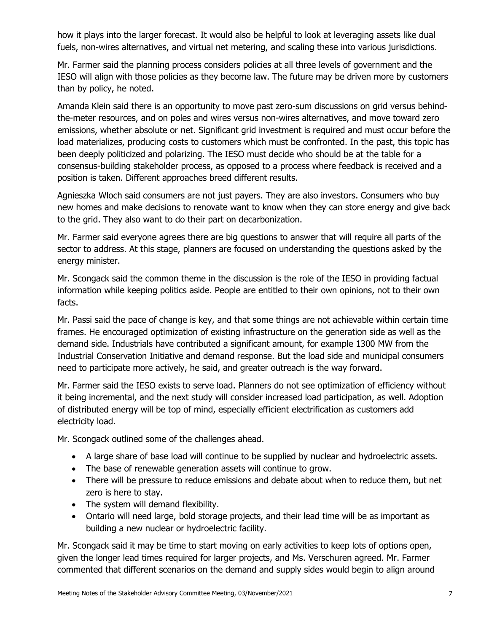how it plays into the larger forecast. It would also be helpful to look at leveraging assets like dual fuels, non-wires alternatives, and virtual net metering, and scaling these into various jurisdictions.

Mr. Farmer said the planning process considers policies at all three levels of government and the IESO will align with those policies as they become law. The future may be driven more by customers than by policy, he noted.

Amanda Klein said there is an opportunity to move past zero-sum discussions on grid versus behindthe-meter resources, and on poles and wires versus non-wires alternatives, and move toward zero emissions, whether absolute or net. Significant grid investment is required and must occur before the load materializes, producing costs to customers which must be confronted. In the past, this topic has been deeply politicized and polarizing. The IESO must decide who should be at the table for a consensus-building stakeholder process, as opposed to a process where feedback is received and a position is taken. Different approaches breed different results.

Agnieszka Wloch said consumers are not just payers. They are also investors. Consumers who buy new homes and make decisions to renovate want to know when they can store energy and give back to the grid. They also want to do their part on decarbonization.

Mr. Farmer said everyone agrees there are big questions to answer that will require all parts of the sector to address. At this stage, planners are focused on understanding the questions asked by the energy minister.

Mr. Scongack said the common theme in the discussion is the role of the IESO in providing factual information while keeping politics aside. People are entitled to their own opinions, not to their own facts.

Mr. Passi said the pace of change is key, and that some things are not achievable within certain time frames. He encouraged optimization of existing infrastructure on the generation side as well as the demand side. Industrials have contributed a significant amount, for example 1300 MW from the Industrial Conservation Initiative and demand response. But the load side and municipal consumers need to participate more actively, he said, and greater outreach is the way forward.

Mr. Farmer said the IESO exists to serve load. Planners do not see optimization of efficiency without it being incremental, and the next study will consider increased load participation, as well. Adoption of distributed energy will be top of mind, especially efficient electrification as customers add electricity load.

Mr. Scongack outlined some of the challenges ahead.

- A large share of base load will continue to be supplied by nuclear and hydroelectric assets.
- The base of renewable generation assets will continue to grow.
- There will be pressure to reduce emissions and debate about when to reduce them, but net zero is here to stay.
- The system will demand flexibility.
- Ontario will need large, bold storage projects, and their lead time will be as important as building a new nuclear or hydroelectric facility.

Mr. Scongack said it may be time to start moving on early activities to keep lots of options open, given the longer lead times required for larger projects, and Ms. Verschuren agreed. Mr. Farmer commented that different scenarios on the demand and supply sides would begin to align around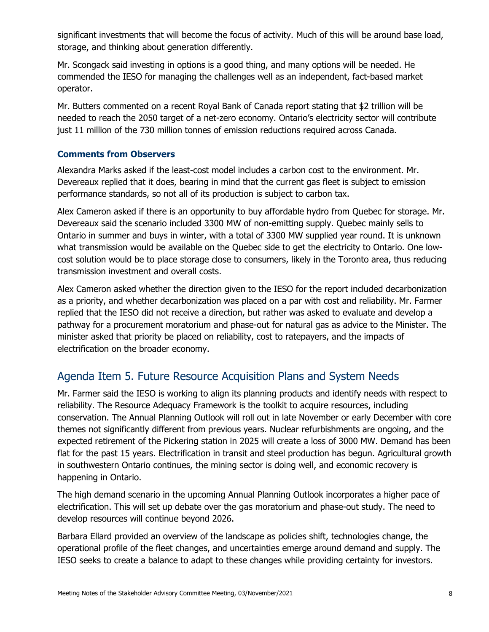significant investments that will become the focus of activity. Much of this will be around base load, storage, and thinking about generation differently.

Mr. Scongack said investing in options is a good thing, and many options will be needed. He commended the IESO for managing the challenges well as an independent, fact-based market operator.

Mr. Butters commented on a recent Royal Bank of Canada report stating that \$2 trillion will be needed to reach the 2050 target of a net-zero economy. Ontario's electricity sector will contribute just 11 million of the 730 million tonnes of emission reductions required across Canada.

#### **Comments from Observers**

Alexandra Marks asked if the least-cost model includes a carbon cost to the environment. Mr. Devereaux replied that it does, bearing in mind that the current gas fleet is subject to emission performance standards, so not all of its production is subject to carbon tax.

Alex Cameron asked if there is an opportunity to buy affordable hydro from Quebec for storage. Mr. Devereaux said the scenario included 3300 MW of non-emitting supply. Quebec mainly sells to Ontario in summer and buys in winter, with a total of 3300 MW supplied year round. It is unknown what transmission would be available on the Quebec side to get the electricity to Ontario. One lowcost solution would be to place storage close to consumers, likely in the Toronto area, thus reducing transmission investment and overall costs.

Alex Cameron asked whether the direction given to the IESO for the report included decarbonization as a priority, and whether decarbonization was placed on a par with cost and reliability. Mr. Farmer replied that the IESO did not receive a direction, but rather was asked to evaluate and develop a pathway for a procurement moratorium and phase-out for natural gas as advice to the Minister. The minister asked that priority be placed on reliability, cost to ratepayers, and the impacts of electrification on the broader economy.

# Agenda Item 5. Future Resource Acquisition Plans and System Needs

Mr. Farmer said the IESO is working to align its planning products and identify needs with respect to reliability. The Resource Adequacy Framework is the toolkit to acquire resources, including conservation. The Annual Planning Outlook will roll out in late November or early December with core themes not significantly different from previous years. Nuclear refurbishments are ongoing, and the expected retirement of the Pickering station in 2025 will create a loss of 3000 MW. Demand has been flat for the past 15 years. Electrification in transit and steel production has begun. Agricultural growth in southwestern Ontario continues, the mining sector is doing well, and economic recovery is happening in Ontario.

The high demand scenario in the upcoming Annual Planning Outlook incorporates a higher pace of electrification. This will set up debate over the gas moratorium and phase-out study. The need to develop resources will continue beyond 2026.

Barbara Ellard provided an overview of the landscape as policies shift, technologies change, the operational profile of the fleet changes, and uncertainties emerge around demand and supply. The IESO seeks to create a balance to adapt to these changes while providing certainty for investors.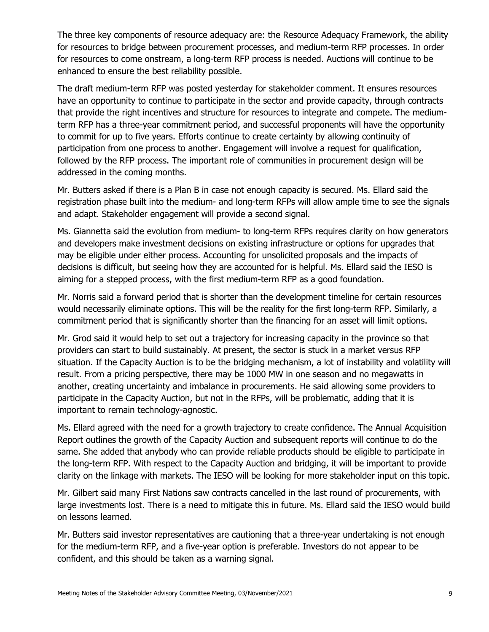The three key components of resource adequacy are: the Resource Adequacy Framework, the ability for resources to bridge between procurement processes, and medium-term RFP processes. In order for resources to come onstream, a long-term RFP process is needed. Auctions will continue to be enhanced to ensure the best reliability possible.

The draft medium-term RFP was posted yesterday for stakeholder comment. It ensures resources have an opportunity to continue to participate in the sector and provide capacity, through contracts that provide the right incentives and structure for resources to integrate and compete. The mediumterm RFP has a three-year commitment period, and successful proponents will have the opportunity to commit for up to five years. Efforts continue to create certainty by allowing continuity of participation from one process to another. Engagement will involve a request for qualification, followed by the RFP process. The important role of communities in procurement design will be addressed in the coming months.

Mr. Butters asked if there is a Plan B in case not enough capacity is secured. Ms. Ellard said the registration phase built into the medium- and long-term RFPs will allow ample time to see the signals and adapt. Stakeholder engagement will provide a second signal.

Ms. Giannetta said the evolution from medium- to long-term RFPs requires clarity on how generators and developers make investment decisions on existing infrastructure or options for upgrades that may be eligible under either process. Accounting for unsolicited proposals and the impacts of decisions is difficult, but seeing how they are accounted for is helpful. Ms. Ellard said the IESO is aiming for a stepped process, with the first medium-term RFP as a good foundation.

Mr. Norris said a forward period that is shorter than the development timeline for certain resources would necessarily eliminate options. This will be the reality for the first long-term RFP. Similarly, a commitment period that is significantly shorter than the financing for an asset will limit options.

Mr. Grod said it would help to set out a trajectory for increasing capacity in the province so that providers can start to build sustainably. At present, the sector is stuck in a market versus RFP situation. If the Capacity Auction is to be the bridging mechanism, a lot of instability and volatility will result. From a pricing perspective, there may be 1000 MW in one season and no megawatts in another, creating uncertainty and imbalance in procurements. He said allowing some providers to participate in the Capacity Auction, but not in the RFPs, will be problematic, adding that it is important to remain technology-agnostic.

Ms. Ellard agreed with the need for a growth trajectory to create confidence. The Annual Acquisition Report outlines the growth of the Capacity Auction and subsequent reports will continue to do the same. She added that anybody who can provide reliable products should be eligible to participate in the long-term RFP. With respect to the Capacity Auction and bridging, it will be important to provide clarity on the linkage with markets. The IESO will be looking for more stakeholder input on this topic.

Mr. Gilbert said many First Nations saw contracts cancelled in the last round of procurements, with large investments lost. There is a need to mitigate this in future. Ms. Ellard said the IESO would build on lessons learned.

Mr. Butters said investor representatives are cautioning that a three-year undertaking is not enough for the medium-term RFP, and a five-year option is preferable. Investors do not appear to be confident, and this should be taken as a warning signal.